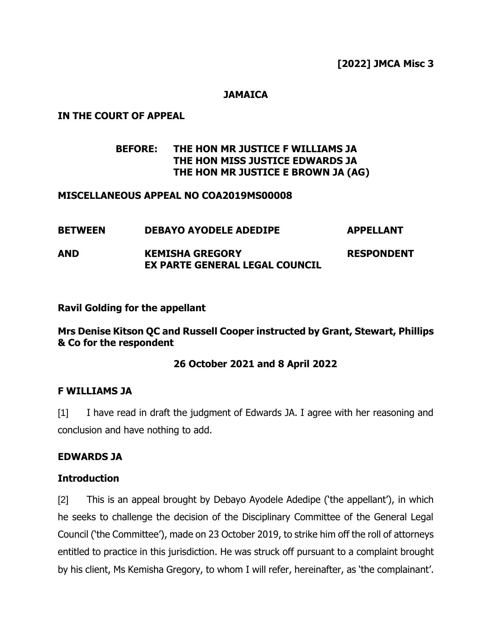**[2022] JMCA Misc 3**

### **JAMAICA**

### **IN THE COURT OF APPEAL**

## **BEFORE: THE HON MR JUSTICE F WILLIAMS JA THE HON MISS JUSTICE EDWARDS JA THE HON MR JUSTICE E BROWN JA (AG)**

#### **MISCELLANEOUS APPEAL NO COA2019MS00008**

| <b>BETWEEN</b> | <b>DEBAYO AYODELE ADEDIPE</b>                                   | <b>APPELLANT</b>  |
|----------------|-----------------------------------------------------------------|-------------------|
| AND            | <b>KEMISHA GREGORY</b><br><b>EX PARTE GENERAL LEGAL COUNCIL</b> | <b>RESPONDENT</b> |

### **Ravil Golding for the appellant**

**Mrs Denise Kitson QC and Russell Cooper instructed by Grant, Stewart, Phillips & Co for the respondent**

#### **26 October 2021 and 8 April 2022**

#### **F WILLIAMS JA**

[1] I have read in draft the judgment of Edwards JA. I agree with her reasoning and conclusion and have nothing to add.

#### **EDWARDS JA**

#### **Introduction**

[2] This is an appeal brought by Debayo Ayodele Adedipe ('the appellant'), in which he seeks to challenge the decision of the Disciplinary Committee of the General Legal Council ('the Committee'), made on 23 October 2019, to strike him off the roll of attorneys entitled to practice in this jurisdiction. He was struck off pursuant to a complaint brought by his client, Ms Kemisha Gregory, to whom I will refer, hereinafter, as 'the complainant'.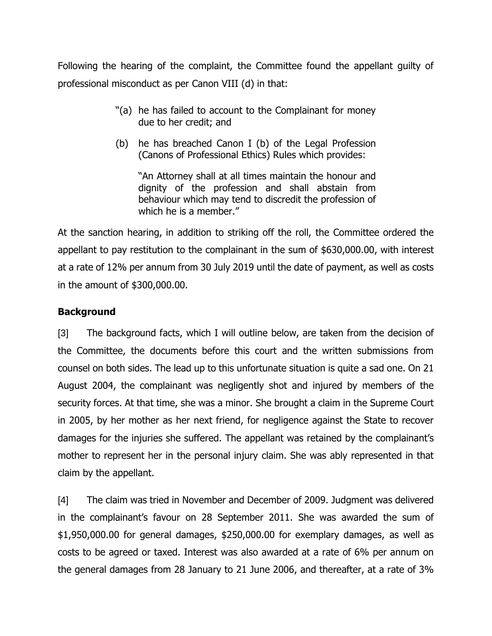Following the hearing of the complaint, the Committee found the appellant guilty of professional misconduct as per Canon VIII (d) in that:

- "(a) he has failed to account to the Complainant for money due to her credit; and
- (b) he has breached Canon I (b) of the Legal Profession (Canons of Professional Ethics) Rules which provides:

"An Attorney shall at all times maintain the honour and dignity of the profession and shall abstain from behaviour which may tend to discredit the profession of which he is a member."

At the sanction hearing, in addition to striking off the roll, the Committee ordered the appellant to pay restitution to the complainant in the sum of \$630,000.00, with interest at a rate of 12% per annum from 30 July 2019 until the date of payment, as well as costs in the amount of \$300,000.00.

## **Background**

[3] The background facts, which I will outline below, are taken from the decision of the Committee, the documents before this court and the written submissions from counsel on both sides. The lead up to this unfortunate situation is quite a sad one. On 21 August 2004, the complainant was negligently shot and injured by members of the security forces. At that time, she was a minor. She brought a claim in the Supreme Court in 2005, by her mother as her next friend, for negligence against the State to recover damages for the injuries she suffered. The appellant was retained by the complainant's mother to represent her in the personal injury claim. She was ably represented in that claim by the appellant.

[4] The claim was tried in November and December of 2009. Judgment was delivered in the complainant's favour on 28 September 2011. She was awarded the sum of \$1,950,000.00 for general damages, \$250,000.00 for exemplary damages, as well as costs to be agreed or taxed. Interest was also awarded at a rate of 6% per annum on the general damages from 28 January to 21 June 2006, and thereafter, at a rate of 3%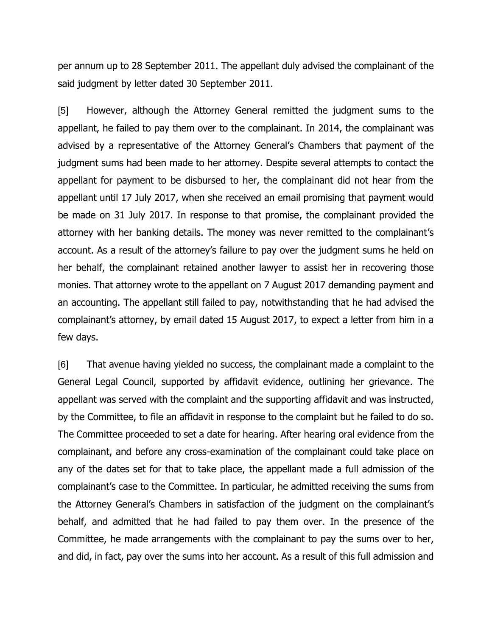per annum up to 28 September 2011. The appellant duly advised the complainant of the said judgment by letter dated 30 September 2011.

[5] However, although the Attorney General remitted the judgment sums to the appellant, he failed to pay them over to the complainant. In 2014, the complainant was advised by a representative of the Attorney General's Chambers that payment of the judgment sums had been made to her attorney. Despite several attempts to contact the appellant for payment to be disbursed to her, the complainant did not hear from the appellant until 17 July 2017, when she received an email promising that payment would be made on 31 July 2017. In response to that promise, the complainant provided the attorney with her banking details. The money was never remitted to the complainant's account. As a result of the attorney's failure to pay over the judgment sums he held on her behalf, the complainant retained another lawyer to assist her in recovering those monies. That attorney wrote to the appellant on 7 August 2017 demanding payment and an accounting. The appellant still failed to pay, notwithstanding that he had advised the complainant's attorney, by email dated 15 August 2017, to expect a letter from him in a few days.

[6] That avenue having yielded no success, the complainant made a complaint to the General Legal Council, supported by affidavit evidence, outlining her grievance. The appellant was served with the complaint and the supporting affidavit and was instructed, by the Committee, to file an affidavit in response to the complaint but he failed to do so. The Committee proceeded to set a date for hearing. After hearing oral evidence from the complainant, and before any cross-examination of the complainant could take place on any of the dates set for that to take place, the appellant made a full admission of the complainant's case to the Committee. In particular, he admitted receiving the sums from the Attorney General's Chambers in satisfaction of the judgment on the complainant's behalf, and admitted that he had failed to pay them over. In the presence of the Committee, he made arrangements with the complainant to pay the sums over to her, and did, in fact, pay over the sums into her account. As a result of this full admission and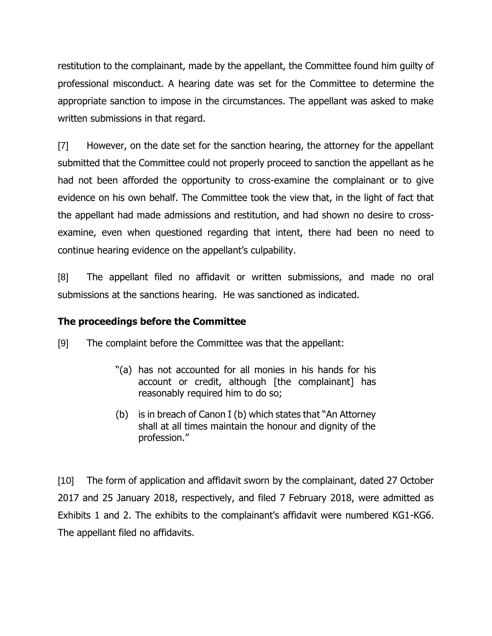restitution to the complainant, made by the appellant, the Committee found him guilty of professional misconduct. A hearing date was set for the Committee to determine the appropriate sanction to impose in the circumstances. The appellant was asked to make written submissions in that regard.

[7] However, on the date set for the sanction hearing, the attorney for the appellant submitted that the Committee could not properly proceed to sanction the appellant as he had not been afforded the opportunity to cross-examine the complainant or to give evidence on his own behalf. The Committee took the view that, in the light of fact that the appellant had made admissions and restitution, and had shown no desire to crossexamine, even when questioned regarding that intent, there had been no need to continue hearing evidence on the appellant's culpability.

[8] The appellant filed no affidavit or written submissions, and made no oral submissions at the sanctions hearing. He was sanctioned as indicated.

## **The proceedings before the Committee**

[9] The complaint before the Committee was that the appellant:

- "(a) has not accounted for all monies in his hands for his account or credit, although [the complainant] has reasonably required him to do so;
- (b) is in breach of Canon I (b) which states that "An Attorney shall at all times maintain the honour and dignity of the profession."

[10] The form of application and affidavit sworn by the complainant, dated 27 October 2017 and 25 January 2018, respectively, and filed 7 February 2018, were admitted as Exhibits 1 and 2. The exhibits to the complainant's affidavit were numbered KG1-KG6. The appellant filed no affidavits.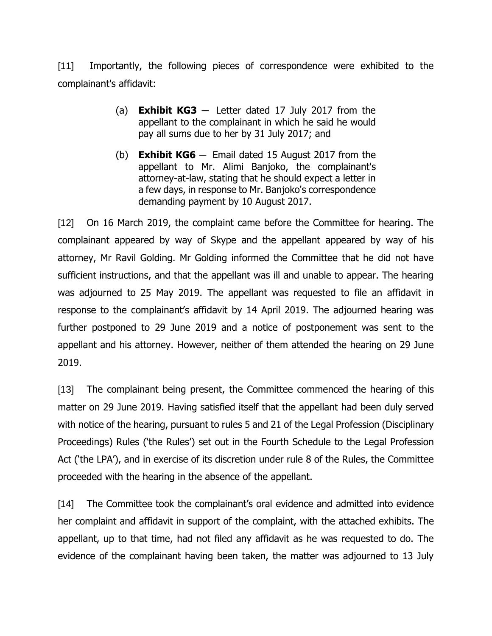[11] Importantly, the following pieces of correspondence were exhibited to the complainant's affidavit:

- (a) **Exhibit KG3**  $-$  Letter dated 17 July 2017 from the appellant to the complainant in which he said he would pay all sums due to her by 31 July 2017; and
- (b) **Exhibit KG6** ─ Email dated 15 August 2017 from the appellant to Mr. Alimi Banjoko, the complainant's attorney-at-law, stating that he should expect a letter in a few days, in response to Mr. Banjoko's correspondence demanding payment by 10 August 2017.

[12] On 16 March 2019, the complaint came before the Committee for hearing. The complainant appeared by way of Skype and the appellant appeared by way of his attorney, Mr Ravil Golding. Mr Golding informed the Committee that he did not have sufficient instructions, and that the appellant was ill and unable to appear. The hearing was adjourned to 25 May 2019. The appellant was requested to file an affidavit in response to the complainant's affidavit by 14 April 2019. The adjourned hearing was further postponed to 29 June 2019 and a notice of postponement was sent to the appellant and his attorney. However, neither of them attended the hearing on 29 June 2019.

[13] The complainant being present, the Committee commenced the hearing of this matter on 29 June 2019. Having satisfied itself that the appellant had been duly served with notice of the hearing, pursuant to rules 5 and 21 of the Legal Profession (Disciplinary Proceedings) Rules ('the Rules') set out in the Fourth Schedule to the Legal Profession Act ('the LPA'), and in exercise of its discretion under rule 8 of the Rules, the Committee proceeded with the hearing in the absence of the appellant.

[14] The Committee took the complainant's oral evidence and admitted into evidence her complaint and affidavit in support of the complaint, with the attached exhibits. The appellant, up to that time, had not filed any affidavit as he was requested to do. The evidence of the complainant having been taken, the matter was adjourned to 13 July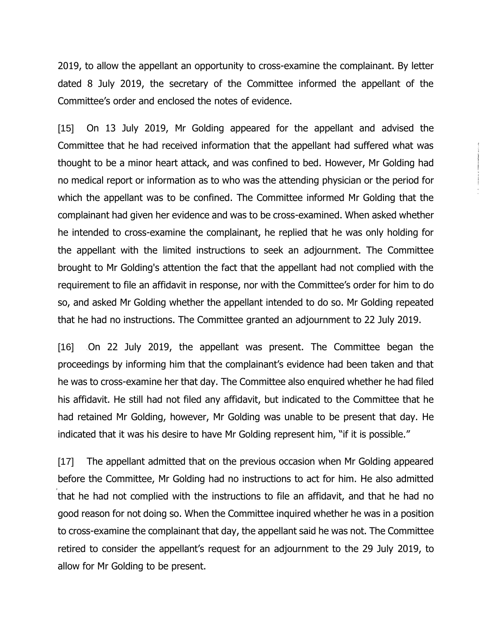2019, to allow the appellant an opportunity to cross-examine the complainant. By letter dated 8 July 2019, the secretary of the Committee informed the appellant of the Committee's order and enclosed the notes of evidence.

[15] On 13 July 2019, Mr Golding appeared for the appellant and advised the Committee that he had received information that the appellant had suffered what was thought to be a minor heart attack, and was confined to bed. However, Mr Golding had no medical report or information as to who was the attending physician or the period for which the appellant was to be confined. The Committee informed Mr Golding that the complainant had given her evidence and was to be cross-examined. When asked whether he intended to cross-examine the complainant, he replied that he was only holding for the appellant with the limited instructions to seek an adjournment. The Committee brought to Mr Golding's attention the fact that the appellant had not complied with the requirement to file an affidavit in response, nor with the Committee's order for him to do so, and asked Mr Golding whether the appellant intended to do so. Mr Golding repeated that he had no instructions. The Committee granted an adjournment to 22 July 2019.

[16] On 22 July 2019, the appellant was present. The Committee began the proceedings by informing him that the complainant's evidence had been taken and that he was to cross-examine her that day. The Committee also enquired whether he had filed his affidavit. He still had not filed any affidavit, but indicated to the Committee that he had retained Mr Golding, however, Mr Golding was unable to be present that day. He indicated that it was his desire to have Mr Golding represent him, "if it is possible."

[17] The appellant admitted that on the previous occasion when Mr Golding appeared before the Committee, Mr Golding had no instructions to act for him. He also admitted that he had not complied with the instructions to file an affidavit, and that he had no good reason for not doing so. When the Committee inquired whether he was in a position to cross-examine the complainant that day, the appellant said he was not. The Committee retired to consider the appellant's request for an adjournment to the 29 July 2019, to allow for Mr Golding to be present.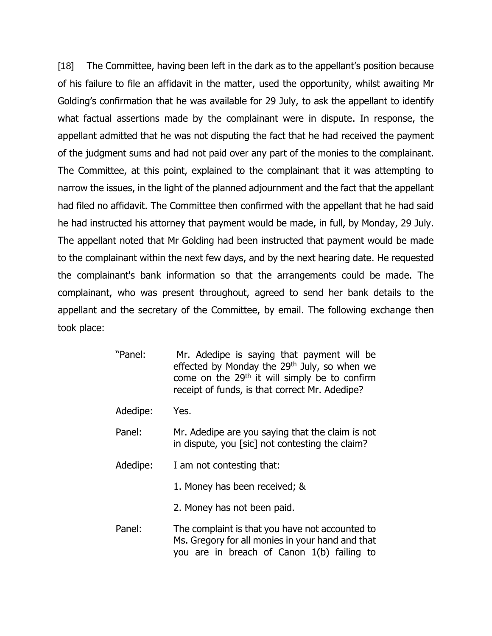[18] The Committee, having been left in the dark as to the appellant's position because of his failure to file an affidavit in the matter, used the opportunity, whilst awaiting Mr Golding's confirmation that he was available for 29 July, to ask the appellant to identify what factual assertions made by the complainant were in dispute. In response, the appellant admitted that he was not disputing the fact that he had received the payment of the judgment sums and had not paid over any part of the monies to the complainant. The Committee, at this point, explained to the complainant that it was attempting to narrow the issues, in the light of the planned adjournment and the fact that the appellant had filed no affidavit. The Committee then confirmed with the appellant that he had said he had instructed his attorney that payment would be made, in full, by Monday, 29 July. The appellant noted that Mr Golding had been instructed that payment would be made to the complainant within the next few days, and by the next hearing date. He requested the complainant's bank information so that the arrangements could be made. The complainant, who was present throughout, agreed to send her bank details to the appellant and the secretary of the Committee, by email. The following exchange then took place:

- "Panel: Mr. Adedipe is saying that payment will be effected by Monday the 29<sup>th</sup> July, so when we come on the  $29<sup>th</sup>$  it will simply be to confirm receipt of funds, is that correct Mr. Adedipe?
- Adedipe: Yes.
- Panel: Mr. Adedipe are you saying that the claim is not in dispute, you [sic] not contesting the claim?
- Adedipe: I am not contesting that:
	- 1. Money has been received; &
	- 2. Money has not been paid.
- Panel: The complaint is that you have not accounted to Ms. Gregory for all monies in your hand and that you are in breach of Canon 1(b) failing to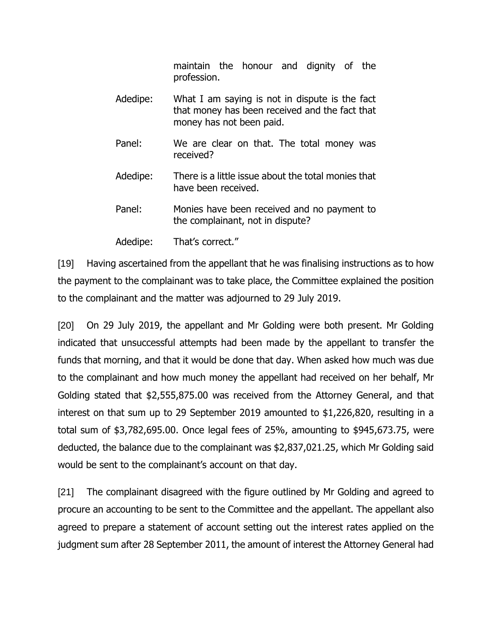maintain the honour and dignity of the profession.

- Adedipe: What I am saying is not in dispute is the fact that money has been received and the fact that money has not been paid. Panel: We are clear on that. The total money was received? Adedipe: There is a little issue about the total monies that have been received.
- Panel: Monies have been received and no payment to the complainant, not in dispute?

Adedipe: That's correct."

[19] Having ascertained from the appellant that he was finalising instructions as to how the payment to the complainant was to take place, the Committee explained the position to the complainant and the matter was adjourned to 29 July 2019.

[20] On 29 July 2019, the appellant and Mr Golding were both present. Mr Golding indicated that unsuccessful attempts had been made by the appellant to transfer the funds that morning, and that it would be done that day. When asked how much was due to the complainant and how much money the appellant had received on her behalf, Mr Golding stated that \$2,555,875.00 was received from the Attorney General, and that interest on that sum up to 29 September 2019 amounted to \$1,226,820, resulting in a total sum of \$3,782,695.00. Once legal fees of 25%, amounting to \$945,673.75, were deducted, the balance due to the complainant was \$2,837,021.25, which Mr Golding said would be sent to the complainant's account on that day.

[21] The complainant disagreed with the figure outlined by Mr Golding and agreed to procure an accounting to be sent to the Committee and the appellant. The appellant also agreed to prepare a statement of account setting out the interest rates applied on the judgment sum after 28 September 2011, the amount of interest the Attorney General had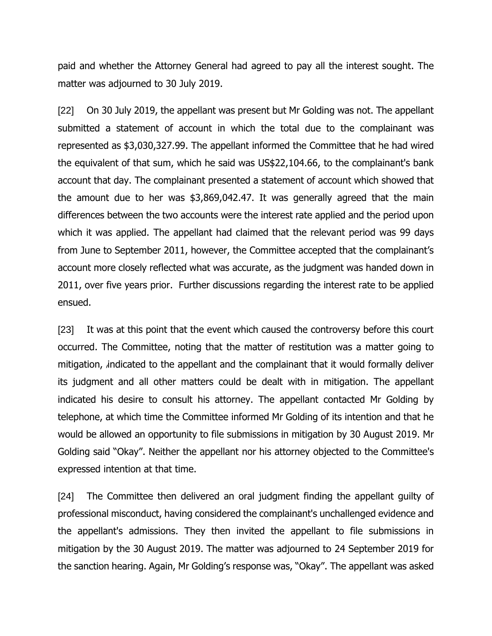paid and whether the Attorney General had agreed to pay all the interest sought. The matter was adjourned to 30 July 2019.

[22] On 30 July 2019, the appellant was present but Mr Golding was not. The appellant submitted a statement of account in which the total due to the complainant was represented as \$3,030,327.99. The appellant informed the Committee that he had wired the equivalent of that sum, which he said was US\$22,104.66, to the complainant's bank account that day. The complainant presented a statement of account which showed that the amount due to her was \$3,869,042.47. It was generally agreed that the main differences between the two accounts were the interest rate applied and the period upon which it was applied. The appellant had claimed that the relevant period was 99 days from June to September 2011, however, the Committee accepted that the complainant's account more closely reflected what was accurate, as the judgment was handed down in 2011, over five years prior. Further discussions regarding the interest rate to be applied ensued.

[23] It was at this point that the event which caused the controversy before this court occurred. The Committee, noting that the matter of restitution was a matter going to mitigation, indicated to the appellant and the complainant that it would formally deliver its judgment and all other matters could be dealt with in mitigation. The appellant indicated his desire to consult his attorney. The appellant contacted Mr Golding by telephone, at which time the Committee informed Mr Golding of its intention and that he would be allowed an opportunity to file submissions in mitigation by 30 August 2019. Mr Golding said "Okay". Neither the appellant nor his attorney objected to the Committee's expressed intention at that time.

[24] The Committee then delivered an oral judgment finding the appellant guilty of professional misconduct, having considered the complainant's unchallenged evidence and the appellant's admissions. They then invited the appellant to file submissions in mitigation by the 30 August 2019. The matter was adjourned to 24 September 2019 for the sanction hearing. Again, Mr Golding's response was, "Okay". The appellant was asked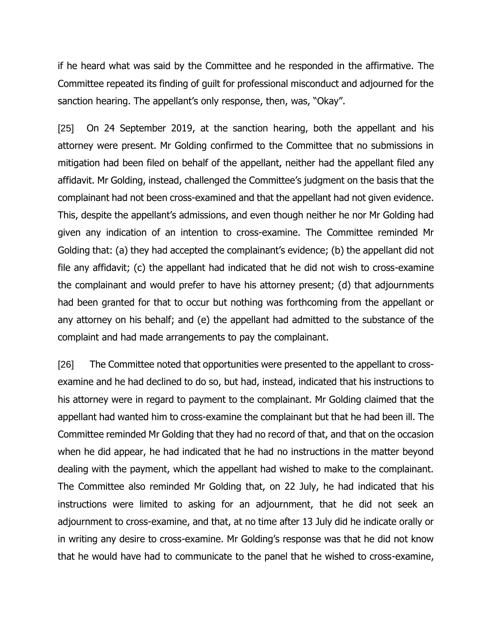if he heard what was said by the Committee and he responded in the affirmative. The Committee repeated its finding of guilt for professional misconduct and adjourned for the sanction hearing. The appellant's only response, then, was, "Okay".

[25] On 24 September 2019, at the sanction hearing, both the appellant and his attorney were present. Mr Golding confirmed to the Committee that no submissions in mitigation had been filed on behalf of the appellant, neither had the appellant filed any affidavit. Mr Golding, instead, challenged the Committee's judgment on the basis that the complainant had not been cross-examined and that the appellant had not given evidence. This, despite the appellant's admissions, and even though neither he nor Mr Golding had given any indication of an intention to cross-examine. The Committee reminded Mr Golding that: (a) they had accepted the complainant's evidence; (b) the appellant did not file any affidavit; (c) the appellant had indicated that he did not wish to cross-examine the complainant and would prefer to have his attorney present; (d) that adjournments had been granted for that to occur but nothing was forthcoming from the appellant or any attorney on his behalf; and (e) the appellant had admitted to the substance of the complaint and had made arrangements to pay the complainant.

[26] The Committee noted that opportunities were presented to the appellant to crossexamine and he had declined to do so, but had, instead, indicated that his instructions to his attorney were in regard to payment to the complainant. Mr Golding claimed that the appellant had wanted him to cross-examine the complainant but that he had been ill. The Committee reminded Mr Golding that they had no record of that, and that on the occasion when he did appear, he had indicated that he had no instructions in the matter beyond dealing with the payment, which the appellant had wished to make to the complainant. The Committee also reminded Mr Golding that, on 22 July, he had indicated that his instructions were limited to asking for an adjournment, that he did not seek an adjournment to cross-examine, and that, at no time after 13 July did he indicate orally or in writing any desire to cross-examine. Mr Golding's response was that he did not know that he would have had to communicate to the panel that he wished to cross-examine,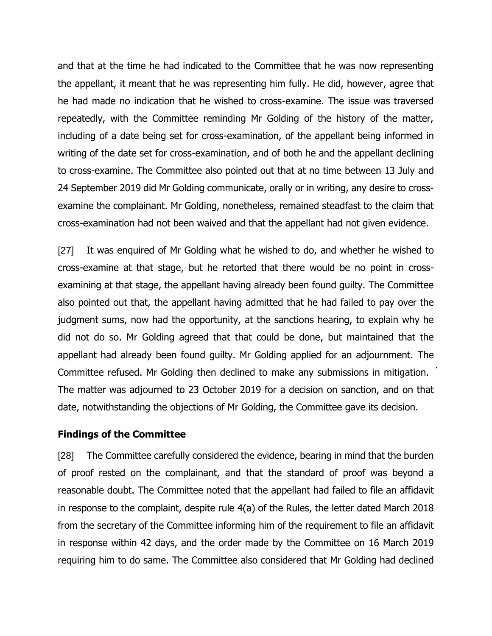and that at the time he had indicated to the Committee that he was now representing the appellant, it meant that he was representing him fully. He did, however, agree that he had made no indication that he wished to cross-examine. The issue was traversed repeatedly, with the Committee reminding Mr Golding of the history of the matter, including of a date being set for cross-examination, of the appellant being informed in writing of the date set for cross-examination, and of both he and the appellant declining to cross-examine. The Committee also pointed out that at no time between 13 July and 24 September 2019 did Mr Golding communicate, orally or in writing, any desire to crossexamine the complainant. Mr Golding, nonetheless, remained steadfast to the claim that cross-examination had not been waived and that the appellant had not given evidence.

[27] It was enquired of Mr Golding what he wished to do, and whether he wished to cross-examine at that stage, but he retorted that there would be no point in crossexamining at that stage, the appellant having already been found guilty. The Committee also pointed out that, the appellant having admitted that he had failed to pay over the judgment sums, now had the opportunity, at the sanctions hearing, to explain why he did not do so. Mr Golding agreed that that could be done, but maintained that the appellant had already been found guilty. Mr Golding applied for an adjournment. The Committee refused. Mr Golding then declined to make any submissions in mitigation. The matter was adjourned to 23 October 2019 for a decision on sanction, and on that date, notwithstanding the objections of Mr Golding, the Committee gave its decision.

#### **Findings of the Committee**

[28] The Committee carefully considered the evidence, bearing in mind that the burden of proof rested on the complainant, and that the standard of proof was beyond a reasonable doubt. The Committee noted that the appellant had failed to file an affidavit in response to the complaint, despite rule 4(a) of the Rules, the letter dated March 2018 from the secretary of the Committee informing him of the requirement to file an affidavit in response within 42 days, and the order made by the Committee on 16 March 2019 requiring him to do same. The Committee also considered that Mr Golding had declined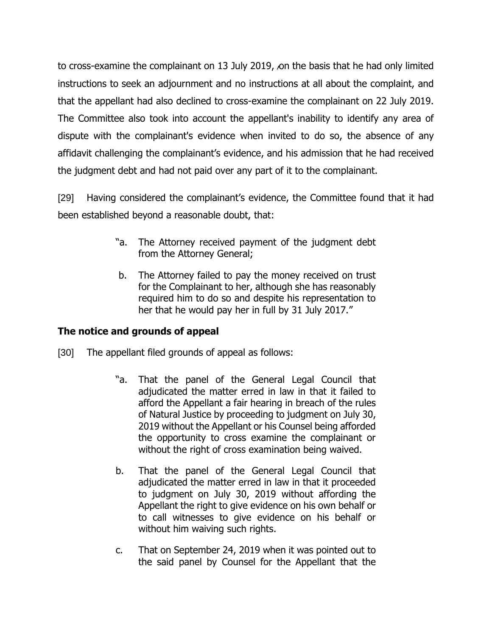to cross-examine the complainant on 13 July 2019, on the basis that he had only limited instructions to seek an adjournment and no instructions at all about the complaint, and that the appellant had also declined to cross-examine the complainant on 22 July 2019. The Committee also took into account the appellant's inability to identify any area of dispute with the complainant's evidence when invited to do so, the absence of any affidavit challenging the complainant's evidence, and his admission that he had received the judgment debt and had not paid over any part of it to the complainant.

[29] Having considered the complainant's evidence, the Committee found that it had been established beyond a reasonable doubt, that:

- "a. The Attorney received payment of the judgment debt from the Attorney General;
- b. The Attorney failed to pay the money received on trust for the Complainant to her, although she has reasonably required him to do so and despite his representation to her that he would pay her in full by 31 July 2017."

## **The notice and grounds of appeal**

- [30] The appellant filed grounds of appeal as follows:
	- "a. That the panel of the General Legal Council that adjudicated the matter erred in law in that it failed to afford the Appellant a fair hearing in breach of the rules of Natural Justice by proceeding to judgment on July 30, 2019 without the Appellant or his Counsel being afforded the opportunity to cross examine the complainant or without the right of cross examination being waived.
	- b. That the panel of the General Legal Council that adjudicated the matter erred in law in that it proceeded to judgment on July 30, 2019 without affording the Appellant the right to give evidence on his own behalf or to call witnesses to give evidence on his behalf or without him waiving such rights.
	- c. That on September 24, 2019 when it was pointed out to the said panel by Counsel for the Appellant that the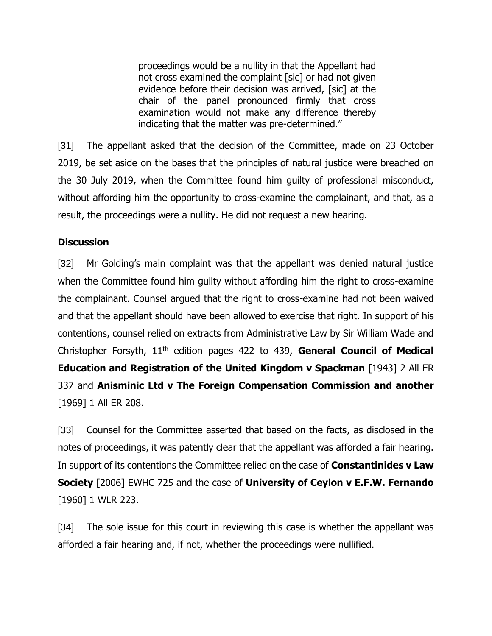proceedings would be a nullity in that the Appellant had not cross examined the complaint [sic] or had not given evidence before their decision was arrived, [sic] at the chair of the panel pronounced firmly that cross examination would not make any difference thereby indicating that the matter was pre-determined."

[31] The appellant asked that the decision of the Committee, made on 23 October 2019, be set aside on the bases that the principles of natural justice were breached on the 30 July 2019, when the Committee found him guilty of professional misconduct, without affording him the opportunity to cross-examine the complainant, and that, as a result, the proceedings were a nullity. He did not request a new hearing.

### **Discussion**

[32] Mr Golding's main complaint was that the appellant was denied natural justice when the Committee found him guilty without affording him the right to cross-examine the complainant. Counsel argued that the right to cross-examine had not been waived and that the appellant should have been allowed to exercise that right. In support of his contentions, counsel relied on extracts from Administrative Law by Sir William Wade and Christopher Forsyth, 11th edition pages 422 to 439, **General Council of Medical Education and Registration of the United Kingdom v Spackman** [1943] 2 All ER 337 and **Anisminic Ltd v The Foreign Compensation Commission and another**  [1969] 1 All ER 208.

[33] Counsel for the Committee asserted that based on the facts, as disclosed in the notes of proceedings, it was patently clear that the appellant was afforded a fair hearing. In support of its contentions the Committee relied on the case of **Constantinides v Law Society** [2006] EWHC 725 and the case of **University of Ceylon v E.F.W. Fernando** [1960] 1 WLR 223.

[34] The sole issue for this court in reviewing this case is whether the appellant was afforded a fair hearing and, if not, whether the proceedings were nullified.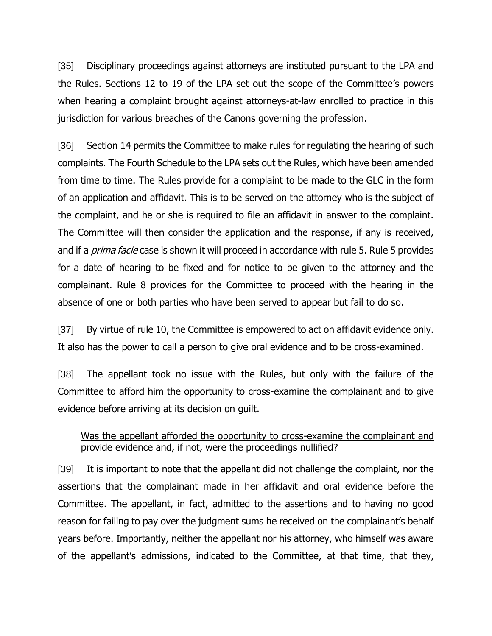[35] Disciplinary proceedings against attorneys are instituted pursuant to the LPA and the Rules. Sections 12 to 19 of the LPA set out the scope of the Committee's powers when hearing a complaint brought against attorneys-at-law enrolled to practice in this jurisdiction for various breaches of the Canons governing the profession.

[36] Section 14 permits the Committee to make rules for regulating the hearing of such complaints. The Fourth Schedule to the LPA sets out the Rules, which have been amended from time to time. The Rules provide for a complaint to be made to the GLC in the form of an application and affidavit. This is to be served on the attorney who is the subject of the complaint, and he or she is required to file an affidavit in answer to the complaint. The Committee will then consider the application and the response, if any is received, and if a *prima facie* case is shown it will proceed in accordance with rule 5. Rule 5 provides for a date of hearing to be fixed and for notice to be given to the attorney and the complainant. Rule 8 provides for the Committee to proceed with the hearing in the absence of one or both parties who have been served to appear but fail to do so.

[37] By virtue of rule 10, the Committee is empowered to act on affidavit evidence only. It also has the power to call a person to give oral evidence and to be cross-examined.

[38] The appellant took no issue with the Rules, but only with the failure of the Committee to afford him the opportunity to cross-examine the complainant and to give evidence before arriving at its decision on guilt.

# Was the appellant afforded the opportunity to cross-examine the complainant and provide evidence and, if not, were the proceedings nullified?

[39] It is important to note that the appellant did not challenge the complaint, nor the assertions that the complainant made in her affidavit and oral evidence before the Committee. The appellant, in fact, admitted to the assertions and to having no good reason for failing to pay over the judgment sums he received on the complainant's behalf years before. Importantly, neither the appellant nor his attorney, who himself was aware of the appellant's admissions, indicated to the Committee, at that time, that they,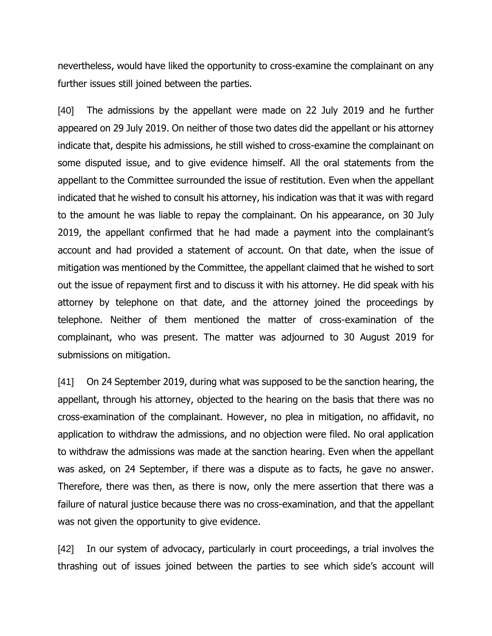nevertheless, would have liked the opportunity to cross-examine the complainant on any further issues still joined between the parties.

[40] The admissions by the appellant were made on 22 July 2019 and he further appeared on 29 July 2019. On neither of those two dates did the appellant or his attorney indicate that, despite his admissions, he still wished to cross-examine the complainant on some disputed issue, and to give evidence himself. All the oral statements from the appellant to the Committee surrounded the issue of restitution. Even when the appellant indicated that he wished to consult his attorney, his indication was that it was with regard to the amount he was liable to repay the complainant. On his appearance, on 30 July 2019, the appellant confirmed that he had made a payment into the complainant's account and had provided a statement of account. On that date, when the issue of mitigation was mentioned by the Committee, the appellant claimed that he wished to sort out the issue of repayment first and to discuss it with his attorney. He did speak with his attorney by telephone on that date, and the attorney joined the proceedings by telephone. Neither of them mentioned the matter of cross-examination of the complainant, who was present. The matter was adjourned to 30 August 2019 for submissions on mitigation.

[41] On 24 September 2019, during what was supposed to be the sanction hearing, the appellant, through his attorney, objected to the hearing on the basis that there was no cross-examination of the complainant. However, no plea in mitigation, no affidavit, no application to withdraw the admissions, and no objection were filed. No oral application to withdraw the admissions was made at the sanction hearing. Even when the appellant was asked, on 24 September, if there was a dispute as to facts, he gave no answer. Therefore, there was then, as there is now, only the mere assertion that there was a failure of natural justice because there was no cross-examination, and that the appellant was not given the opportunity to give evidence.

[42] In our system of advocacy, particularly in court proceedings, a trial involves the thrashing out of issues joined between the parties to see which side's account will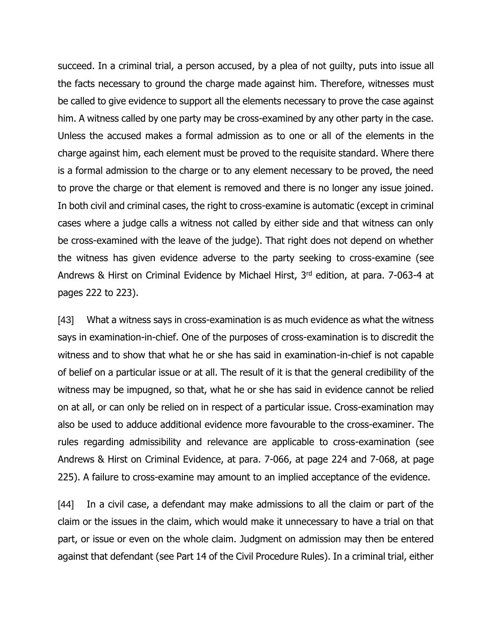succeed. In a criminal trial, a person accused, by a plea of not guilty, puts into issue all the facts necessary to ground the charge made against him. Therefore, witnesses must be called to give evidence to support all the elements necessary to prove the case against him. A witness called by one party may be cross-examined by any other party in the case. Unless the accused makes a formal admission as to one or all of the elements in the charge against him, each element must be proved to the requisite standard. Where there is a formal admission to the charge or to any element necessary to be proved, the need to prove the charge or that element is removed and there is no longer any issue joined. In both civil and criminal cases, the right to cross-examine is automatic (except in criminal cases where a judge calls a witness not called by either side and that witness can only be cross-examined with the leave of the judge). That right does not depend on whether the witness has given evidence adverse to the party seeking to cross-examine (see Andrews & Hirst on Criminal Evidence by Michael Hirst, 3<sup>rd</sup> edition, at para. 7-063-4 at pages 222 to 223).

[43] What a witness says in cross-examination is as much evidence as what the witness says in examination-in-chief. One of the purposes of cross-examination is to discredit the witness and to show that what he or she has said in examination-in-chief is not capable of belief on a particular issue or at all. The result of it is that the general credibility of the witness may be impugned, so that, what he or she has said in evidence cannot be relied on at all, or can only be relied on in respect of a particular issue. Cross-examination may also be used to adduce additional evidence more favourable to the cross-examiner. The rules regarding admissibility and relevance are applicable to cross-examination (see Andrews & Hirst on Criminal Evidence, at para. 7-066, at page 224 and 7-068, at page 225). A failure to cross-examine may amount to an implied acceptance of the evidence.

[44] In a civil case, a defendant may make admissions to all the claim or part of the claim or the issues in the claim, which would make it unnecessary to have a trial on that part, or issue or even on the whole claim. Judgment on admission may then be entered against that defendant (see Part 14 of the Civil Procedure Rules). In a criminal trial, either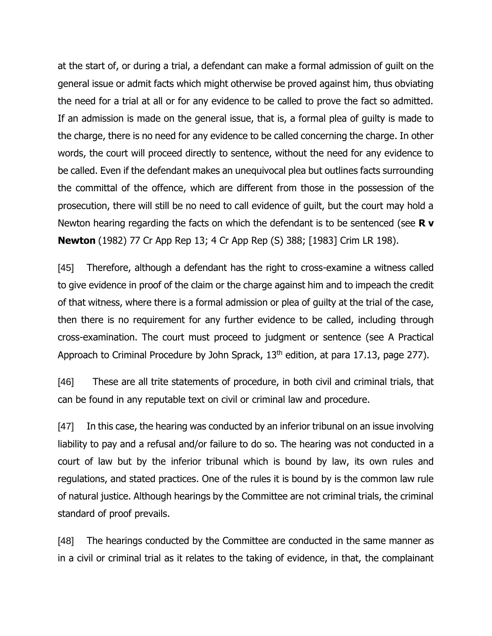at the start of, or during a trial, a defendant can make a formal admission of guilt on the general issue or admit facts which might otherwise be proved against him, thus obviating the need for a trial at all or for any evidence to be called to prove the fact so admitted. If an admission is made on the general issue, that is, a formal plea of guilty is made to the charge, there is no need for any evidence to be called concerning the charge. In other words, the court will proceed directly to sentence, without the need for any evidence to be called. Even if the defendant makes an unequivocal plea but outlines facts surrounding the committal of the offence, which are different from those in the possession of the prosecution, there will still be no need to call evidence of guilt, but the court may hold a Newton hearing regarding the facts on which the defendant is to be sentenced (see **R v Newton** (1982) 77 Cr App Rep 13; 4 Cr App Rep (S) 388; [1983] Crim LR 198).

[45] Therefore, although a defendant has the right to cross-examine a witness called to give evidence in proof of the claim or the charge against him and to impeach the credit of that witness, where there is a formal admission or plea of guilty at the trial of the case, then there is no requirement for any further evidence to be called, including through cross-examination. The court must proceed to judgment or sentence (see A Practical Approach to Criminal Procedure by John Sprack,  $13<sup>th</sup>$  edition, at para 17.13, page 277).

[46] These are all trite statements of procedure, in both civil and criminal trials, that can be found in any reputable text on civil or criminal law and procedure.

[47] In this case, the hearing was conducted by an inferior tribunal on an issue involving liability to pay and a refusal and/or failure to do so. The hearing was not conducted in a court of law but by the inferior tribunal which is bound by law, its own rules and regulations, and stated practices. One of the rules it is bound by is the common law rule of natural justice. Although hearings by the Committee are not criminal trials, the criminal standard of proof prevails.

[48] The hearings conducted by the Committee are conducted in the same manner as in a civil or criminal trial as it relates to the taking of evidence, in that, the complainant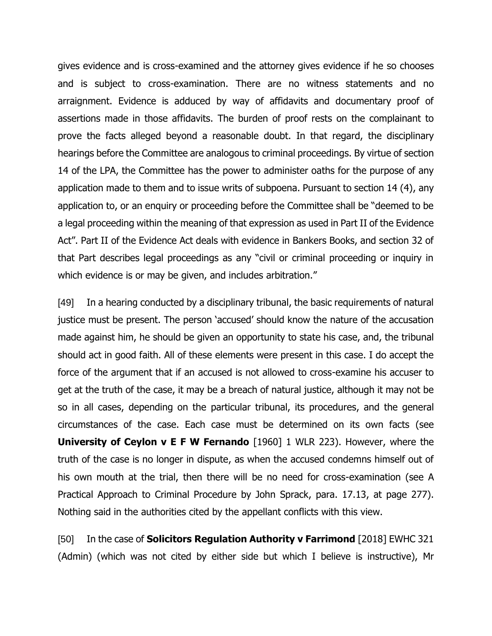gives evidence and is cross-examined and the attorney gives evidence if he so chooses and is subject to cross-examination. There are no witness statements and no arraignment. Evidence is adduced by way of affidavits and documentary proof of assertions made in those affidavits. The burden of proof rests on the complainant to prove the facts alleged beyond a reasonable doubt. In that regard, the disciplinary hearings before the Committee are analogous to criminal proceedings. By virtue of section 14 of the LPA, the Committee has the power to administer oaths for the purpose of any application made to them and to issue writs of subpoena. Pursuant to section 14 (4), any application to, or an enquiry or proceeding before the Committee shall be "deemed to be a legal proceeding within the meaning of that expression as used in Part II of the Evidence Act". Part II of the Evidence Act deals with evidence in Bankers Books, and section 32 of that Part describes legal proceedings as any "civil or criminal proceeding or inquiry in which evidence is or may be given, and includes arbitration."

[49] In a hearing conducted by a disciplinary tribunal, the basic requirements of natural justice must be present. The person 'accused' should know the nature of the accusation made against him, he should be given an opportunity to state his case, and, the tribunal should act in good faith. All of these elements were present in this case. I do accept the force of the argument that if an accused is not allowed to cross-examine his accuser to get at the truth of the case, it may be a breach of natural justice, although it may not be so in all cases, depending on the particular tribunal, its procedures, and the general circumstances of the case. Each case must be determined on its own facts (see **University of Ceylon v E F W Fernando** [1960] 1 WLR 223). However, where the truth of the case is no longer in dispute, as when the accused condemns himself out of his own mouth at the trial, then there will be no need for cross-examination (see A Practical Approach to Criminal Procedure by John Sprack, para. 17.13, at page 277). Nothing said in the authorities cited by the appellant conflicts with this view.

[50] In the case of **Solicitors Regulation Authority v Farrimond** [2018] EWHC 321 (Admin) (which was not cited by either side but which I believe is instructive), Mr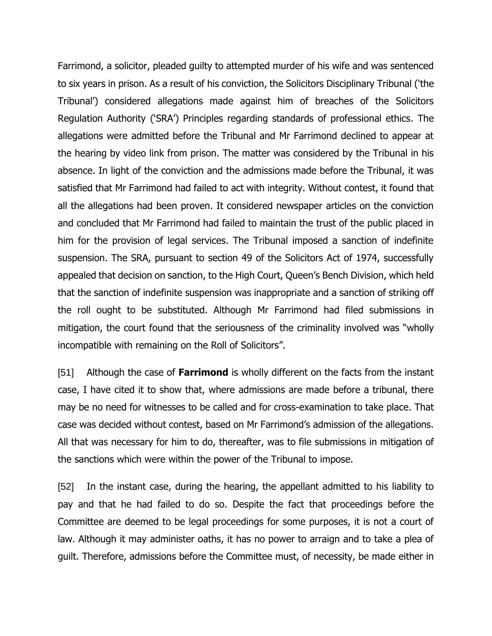Farrimond, a solicitor, pleaded guilty to attempted murder of his wife and was sentenced to six years in prison. As a result of his conviction, the Solicitors Disciplinary Tribunal ('the Tribunal') considered allegations made against him of breaches of the Solicitors Regulation Authority ('SRA') Principles regarding standards of professional ethics. The allegations were admitted before the Tribunal and Mr Farrimond declined to appear at the hearing by video link from prison. The matter was considered by the Tribunal in his absence. In light of the conviction and the admissions made before the Tribunal, it was satisfied that Mr Farrimond had failed to act with integrity. Without contest, it found that all the allegations had been proven. It considered newspaper articles on the conviction and concluded that Mr Farrimond had failed to maintain the trust of the public placed in him for the provision of legal services. The Tribunal imposed a sanction of indefinite suspension. The SRA, pursuant to section 49 of the Solicitors Act of 1974, successfully appealed that decision on sanction, to the High Court, Queen's Bench Division, which held that the sanction of indefinite suspension was inappropriate and a sanction of striking off the roll ought to be substituted. Although Mr Farrimond had filed submissions in mitigation, the court found that the seriousness of the criminality involved was "wholly incompatible with remaining on the Roll of Solicitors".

[51] Although the case of **Farrimond** is wholly different on the facts from the instant case, I have cited it to show that, where admissions are made before a tribunal, there may be no need for witnesses to be called and for cross-examination to take place. That case was decided without contest, based on Mr Farrimond's admission of the allegations. All that was necessary for him to do, thereafter, was to file submissions in mitigation of the sanctions which were within the power of the Tribunal to impose.

[52] In the instant case, during the hearing, the appellant admitted to his liability to pay and that he had failed to do so. Despite the fact that proceedings before the Committee are deemed to be legal proceedings for some purposes, it is not a court of law. Although it may administer oaths, it has no power to arraign and to take a plea of guilt. Therefore, admissions before the Committee must, of necessity, be made either in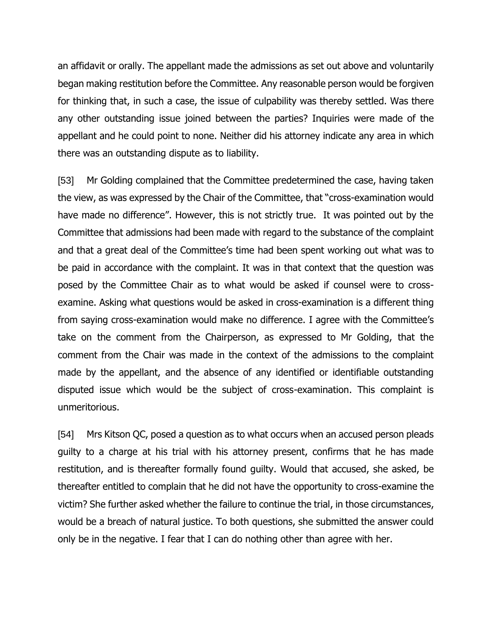an affidavit or orally. The appellant made the admissions as set out above and voluntarily began making restitution before the Committee. Any reasonable person would be forgiven for thinking that, in such a case, the issue of culpability was thereby settled. Was there any other outstanding issue joined between the parties? Inquiries were made of the appellant and he could point to none. Neither did his attorney indicate any area in which there was an outstanding dispute as to liability.

[53] Mr Golding complained that the Committee predetermined the case, having taken the view, as was expressed by the Chair of the Committee, that "cross-examination would have made no difference". However, this is not strictly true. It was pointed out by the Committee that admissions had been made with regard to the substance of the complaint and that a great deal of the Committee's time had been spent working out what was to be paid in accordance with the complaint. It was in that context that the question was posed by the Committee Chair as to what would be asked if counsel were to crossexamine. Asking what questions would be asked in cross-examination is a different thing from saying cross-examination would make no difference. I agree with the Committee's take on the comment from the Chairperson, as expressed to Mr Golding, that the comment from the Chair was made in the context of the admissions to the complaint made by the appellant, and the absence of any identified or identifiable outstanding disputed issue which would be the subject of cross-examination. This complaint is unmeritorious.

[54] Mrs Kitson QC, posed a question as to what occurs when an accused person pleads guilty to a charge at his trial with his attorney present, confirms that he has made restitution, and is thereafter formally found guilty. Would that accused, she asked, be thereafter entitled to complain that he did not have the opportunity to cross-examine the victim? She further asked whether the failure to continue the trial, in those circumstances, would be a breach of natural justice. To both questions, she submitted the answer could only be in the negative. I fear that I can do nothing other than agree with her.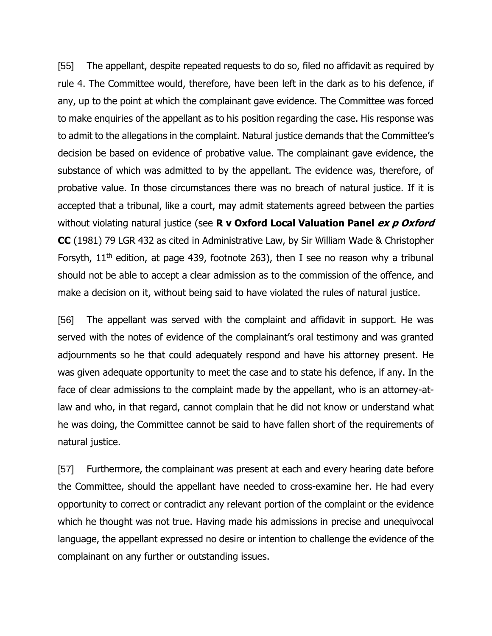[55] The appellant, despite repeated requests to do so, filed no affidavit as required by rule 4. The Committee would, therefore, have been left in the dark as to his defence, if any, up to the point at which the complainant gave evidence. The Committee was forced to make enquiries of the appellant as to his position regarding the case. His response was to admit to the allegations in the complaint. Natural justice demands that the Committee's decision be based on evidence of probative value. The complainant gave evidence, the substance of which was admitted to by the appellant. The evidence was, therefore, of probative value. In those circumstances there was no breach of natural justice. If it is accepted that a tribunal, like a court, may admit statements agreed between the parties without violating natural justice (see **R v Oxford Local Valuation Panel ex p Oxford CC** (1981) 79 LGR 432 as cited in Administrative Law, by Sir William Wade & Christopher Forsyth,  $11<sup>th</sup>$  edition, at page 439, footnote 263), then I see no reason why a tribunal should not be able to accept a clear admission as to the commission of the offence, and make a decision on it, without being said to have violated the rules of natural justice.

[56] The appellant was served with the complaint and affidavit in support. He was served with the notes of evidence of the complainant's oral testimony and was granted adjournments so he that could adequately respond and have his attorney present. He was given adequate opportunity to meet the case and to state his defence, if any. In the face of clear admissions to the complaint made by the appellant, who is an attorney-atlaw and who, in that regard, cannot complain that he did not know or understand what he was doing, the Committee cannot be said to have fallen short of the requirements of natural justice.

[57] Furthermore, the complainant was present at each and every hearing date before the Committee, should the appellant have needed to cross-examine her. He had every opportunity to correct or contradict any relevant portion of the complaint or the evidence which he thought was not true. Having made his admissions in precise and unequivocal language, the appellant expressed no desire or intention to challenge the evidence of the complainant on any further or outstanding issues.